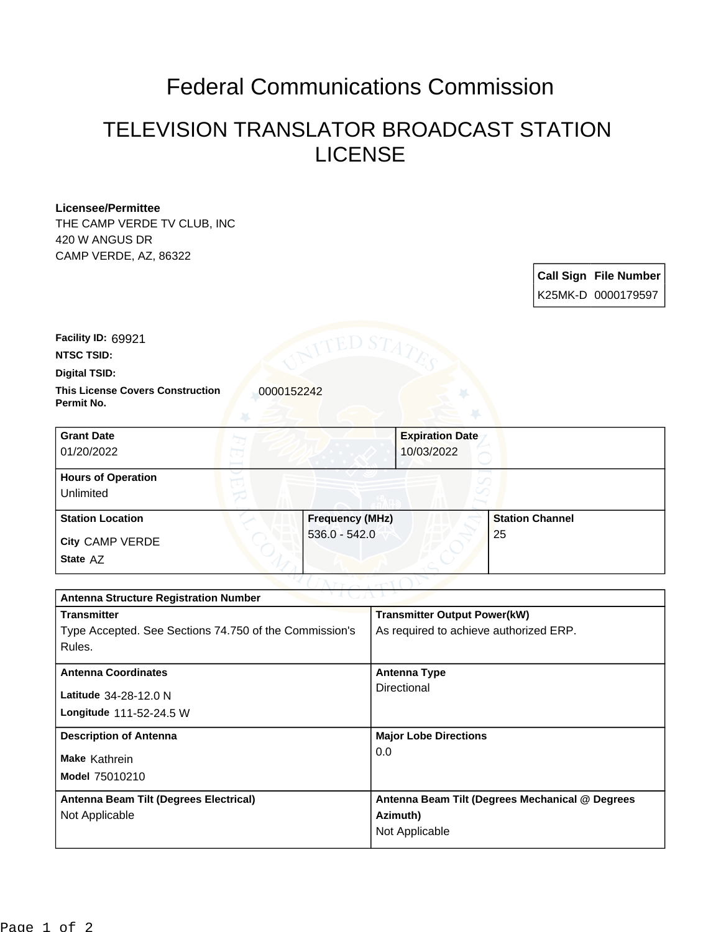## Federal Communications Commission

## TELEVISION TRANSLATOR BROADCAST STATION LICENSE

## **Licensee/Permittee**

THE CAMP VERDE TV CLUB, INC 420 W ANGUS DR CAMP VERDE, AZ, 86322

> **Call Sign File Number** K25MK-D 0000179597

**Facility ID:** 69921

**NTSC TSID:**

**Digital TSID:**

**This License Covers Construction**  0000152242 **Permit No.**

| <b>Grant Date</b><br>01/20/2022        | <b>Expiration Date</b><br>10/03/2022 |                        |
|----------------------------------------|--------------------------------------|------------------------|
| <b>Hours of Operation</b><br>Unlimited |                                      |                        |
|                                        |                                      |                        |
| <b>Station Location</b>                | <b>Frequency (MHz)</b>               | <b>Station Channel</b> |
| <b>City CAMP VERDE</b>                 | $536.0 - 542.0$                      | 25                     |
| State AZ                               |                                      |                        |

| <b>Antenna Structure Registration Number</b>           |                                                 |  |
|--------------------------------------------------------|-------------------------------------------------|--|
| <b>Transmitter</b>                                     | <b>Transmitter Output Power(kW)</b>             |  |
| Type Accepted. See Sections 74.750 of the Commission's | As required to achieve authorized ERP.          |  |
| Rules.                                                 |                                                 |  |
| <b>Antenna Coordinates</b>                             | Antenna Type                                    |  |
|                                                        | Directional                                     |  |
| Latitude 34-28-12.0 N                                  |                                                 |  |
| Longitude 111-52-24.5 W                                |                                                 |  |
| <b>Description of Antenna</b>                          | <b>Major Lobe Directions</b>                    |  |
| <b>Make Kathrein</b>                                   | 0.0                                             |  |
| Model 75010210                                         |                                                 |  |
|                                                        |                                                 |  |
| Antenna Beam Tilt (Degrees Electrical)                 | Antenna Beam Tilt (Degrees Mechanical @ Degrees |  |
| Not Applicable                                         | Azimuth)                                        |  |
|                                                        | Not Applicable                                  |  |
|                                                        |                                                 |  |